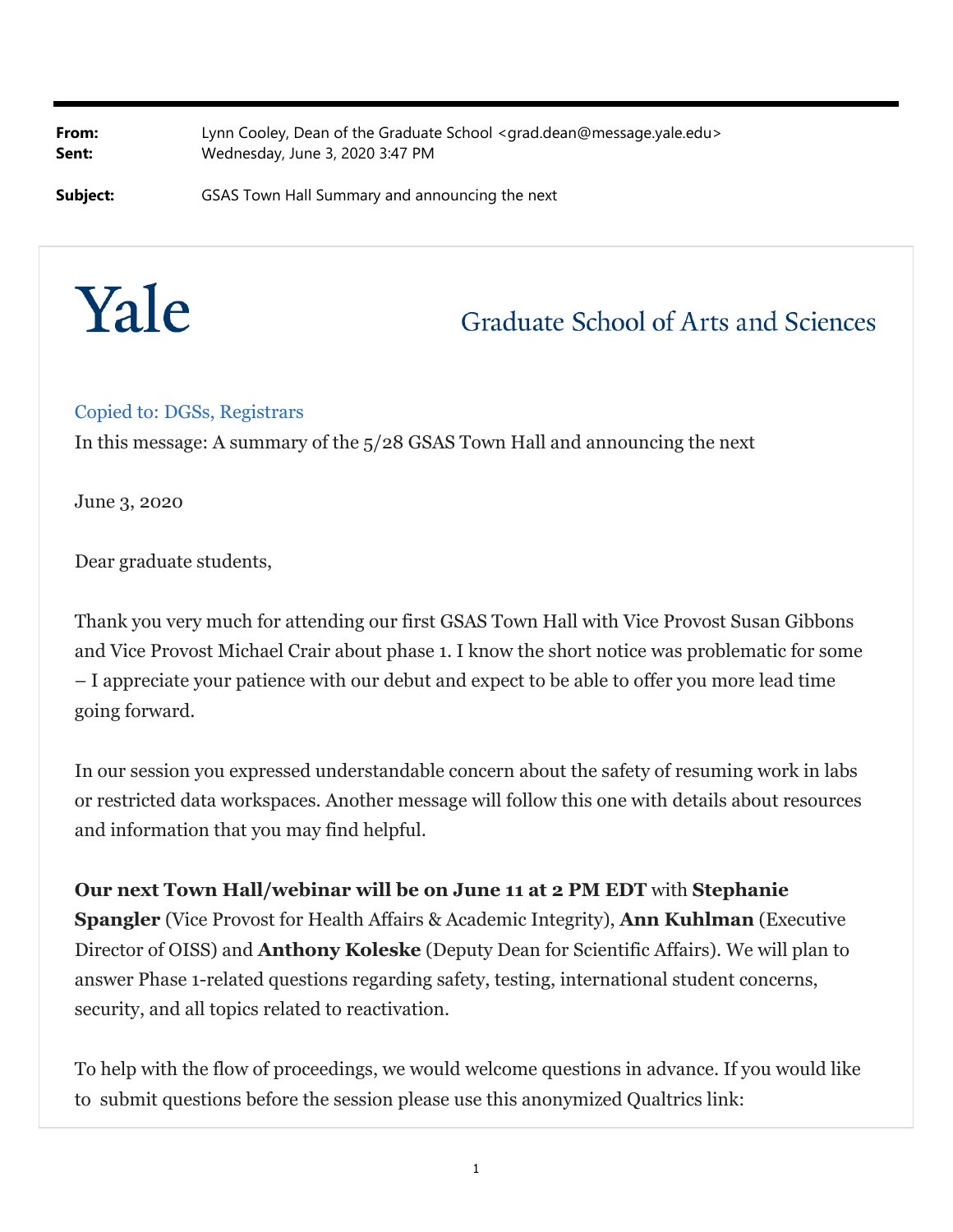**From:** Lynn Cooley, Dean of the Graduate School <grad.dean@message.yale.edu> **Sent:** Wednesday, June 3, 2020 3:47 PM

**Subject: GSAS Town Hall Summary and announcing the next** 



## **Graduate School of Arts and Sciences**

## Copied to: DGSs, Registrars

In this message: A summary of the 5/28 GSAS Town Hall and announcing the next

June 3, 2020

Dear graduate students,

Thank you very much for attending our first GSAS Town Hall with Vice Provost Susan Gibbons and Vice Provost Michael Crair about phase 1. I know the short notice was problematic for some – I appreciate your patience with our debut and expect to be able to offer you more lead time going forward.

In our session you expressed understandable concern about the safety of resuming work in labs or restricted data workspaces. Another message will follow this one with details about resources and information that you may find helpful.

**Our next Town Hall/webinar will be on June 11 at 2 PM EDT** with **Stephanie Spangler** (Vice Provost for Health Affairs & Academic Integrity), **Ann Kuhlman** (Executive Director of OISS) and **Anthony Koleske** (Deputy Dean for Scientific Affairs). We will plan to answer Phase 1-related questions regarding safety, testing, international student concerns, security, and all topics related to reactivation.

To help with the flow of proceedings, we would welcome questions in advance. If you would like to submit questions before the session please use this anonymized Qualtrics link: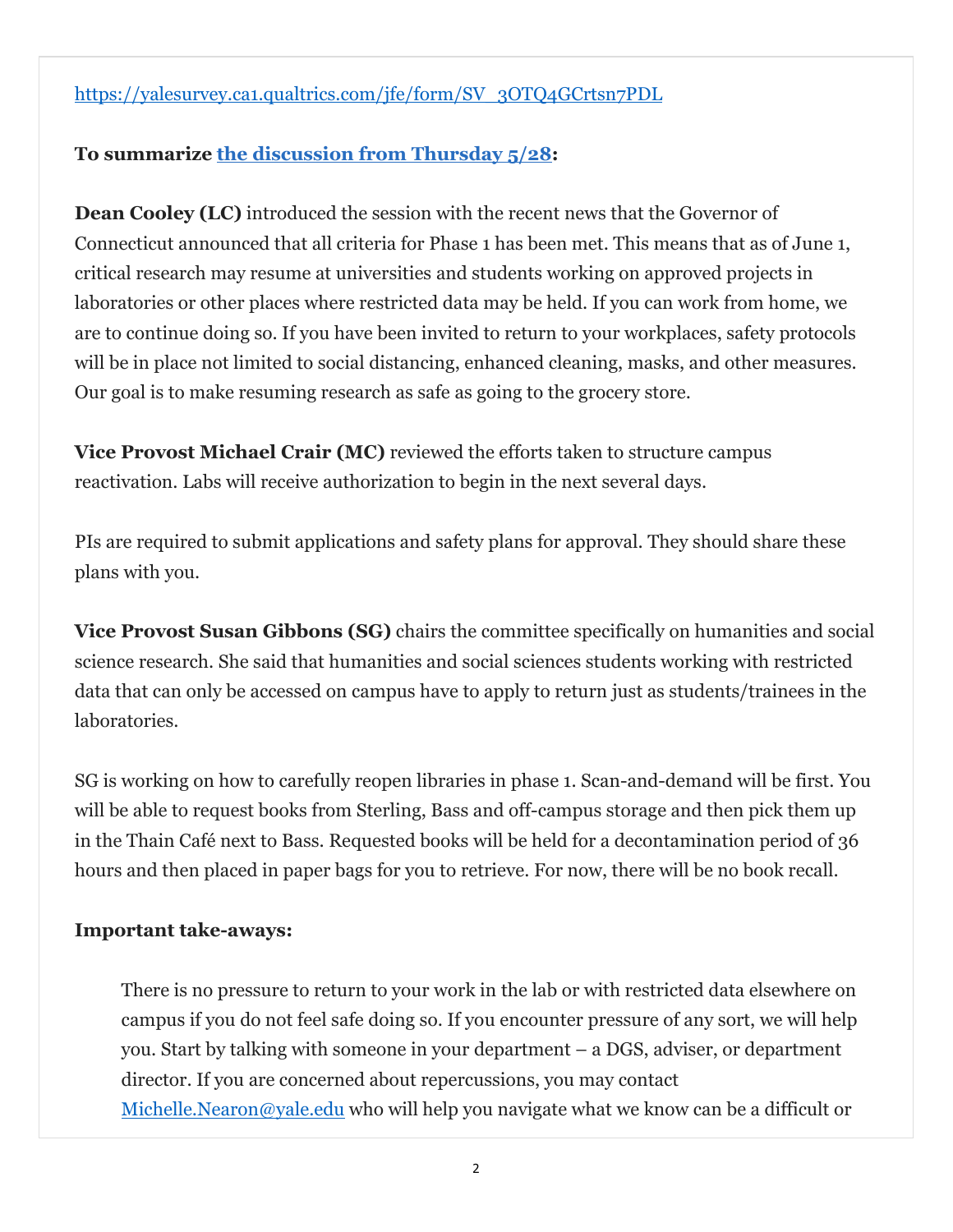https://yalesurvey.ca1.qualtrics.com/jfe/form/SV\_3OTQ4GCrtsn7PDL

## **To summarize the discussion from Thursday 5/28:**

**Dean Cooley (LC)** introduced the session with the recent news that the Governor of Connecticut announced that all criteria for Phase 1 has been met. This means that as of June 1, critical research may resume at universities and students working on approved projects in laboratories or other places where restricted data may be held. If you can work from home, we are to continue doing so. If you have been invited to return to your workplaces, safety protocols will be in place not limited to social distancing, enhanced cleaning, masks, and other measures. Our goal is to make resuming research as safe as going to the grocery store.

**Vice Provost Michael Crair (MC)** reviewed the efforts taken to structure campus reactivation. Labs will receive authorization to begin in the next several days.

PIs are required to submit applications and safety plans for approval. They should share these plans with you.

**Vice Provost Susan Gibbons (SG)** chairs the committee specifically on humanities and social science research. She said that humanities and social sciences students working with restricted data that can only be accessed on campus have to apply to return just as students/trainees in the laboratories.

SG is working on how to carefully reopen libraries in phase 1. Scan-and-demand will be first. You will be able to request books from Sterling, Bass and off-campus storage and then pick them up in the Thain Café next to Bass. Requested books will be held for a decontamination period of 36 hours and then placed in paper bags for you to retrieve. For now, there will be no book recall.

## **Important take-aways:**

There is no pressure to return to your work in the lab or with restricted data elsewhere on campus if you do not feel safe doing so. If you encounter pressure of any sort, we will help you. Start by talking with someone in your department – a DGS, adviser, or department director. If you are concerned about repercussions, you may contact Michelle.Nearon@yale.edu who will help you navigate what we know can be a difficult or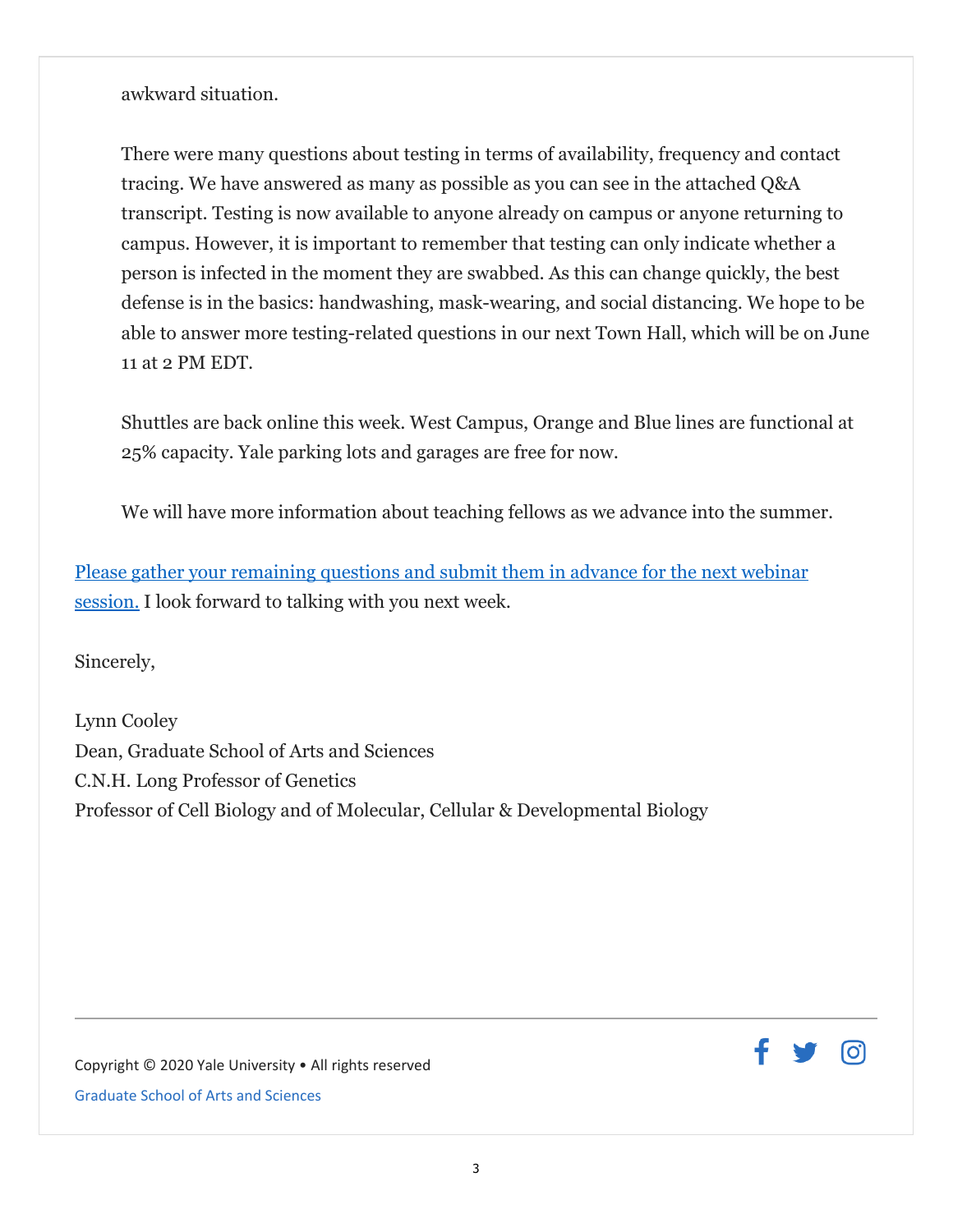awkward situation.

There were many questions about testing in terms of availability, frequency and contact tracing. We have answered as many as possible as you can see in the attached Q&A transcript. Testing is now available to anyone already on campus or anyone returning to campus. However, it is important to remember that testing can only indicate whether a person is infected in the moment they are swabbed. As this can change quickly, the best defense is in the basics: handwashing, mask-wearing, and social distancing. We hope to be able to answer more testing-related questions in our next Town Hall, which will be on June 11 at 2 PM EDT.

Shuttles are back online this week. West Campus, Orange and Blue lines are functional at 25% capacity. Yale parking lots and garages are free for now.

We will have more information about teaching fellows as we advance into the summer.

Please gather your remaining questions and submit them in advance for the next webinar session. I look forward to talking with you next week.

Sincerely,

Lynn Cooley Dean, Graduate School of Arts and Sciences C.N.H. Long Professor of Genetics Professor of Cell Biology and of Molecular, Cellular & Developmental Biology

<u>(ဝါ</u>

Copyright © 2020 Yale University • All rights reserved Graduate School of Arts and Sciences